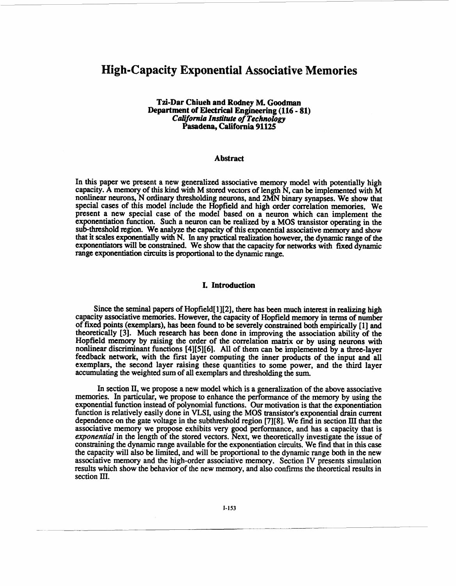# **High-Capacity Exponential Associative Memories**

## **Tzi-Dar Chiueh and Rodney M. Goodman Department of Electrical Engineering (116** - **81)**  *California InstirUte of Technology*  **Pasadena, California 91125**

#### **Abstract**

In this paper we present a new generalized associative memory model with potentially high capacity. A memory of this kind with M stored vectors of length N, can be implemented with M nonlinear neurons, N ordinary thresholding neurons, and **2MN** binary synapses. We show that special cases of this model include the Hopfield and high order correlation memories, We present a new special case of the model based on a neuron which can implement the exponentiation function. Such a neuron can be realized by a **MOS** transistor operating in the sub-threshold region. We analyze the capacity of this exponential associative memory and show that it scales exponentially **with** N. In any practical **realization** however, the dynamic range of the exponentiators will be constrained. We show that the capacity for networks with fixed dynamic range exponentiation *circuits* is proportional to the dynamic range.

#### **I. Introduction**

Since the **seminal** papers of Hopfield[ **1][2],** there has been much interest in realizing **high**  capacity associative memories. However, the capacity of Hopfield memory in terms of number of **fixed points** (exemplars), has been found to be severely constrained both empirically **[l]** and theoretically **[3].** Much research has been done in improving the association ability of the Hopfield memory by raising the **order** of the correlation **matrix** or by using neurons with nonlinear discriminant functions **[4][5][6].** All of them can be implemented by a three-layer feedback network, with the first layer computing the inner products of the input and all exemplars, the second layer raising these quantities to some power, and the third layer accumulating the weighted sum of **all** exemplars and thresholding the sum.

In section **II,** we propose a new model which is a generalization of the above associative memories. In particular, we propose to enhance the performance of the memory by using the exponential function instead of polynomial functions. **Our** motivation is that the exponentiation function is relatively easily done in **VLSI,** using the **MOS** transistor's exponential drain current dependence on the gate voltage in the subthreshold region **[7][8].** We find in section **III** that the associative memory we propose exhibits very good performance, and has a capacity that is exponential in the length of the stored vectors. Next, we theoretically investigate the issue of constraining the dynamic range available for **the** exponentiation circuits. We find that in this case the capacity will also be limited, and will be proportional to the dynamic range both in the new associative memory and the high-order associative memory. Section **IV** presents simulation results which show the behavior of the new memory, and **also** confms the theoretical results in section III.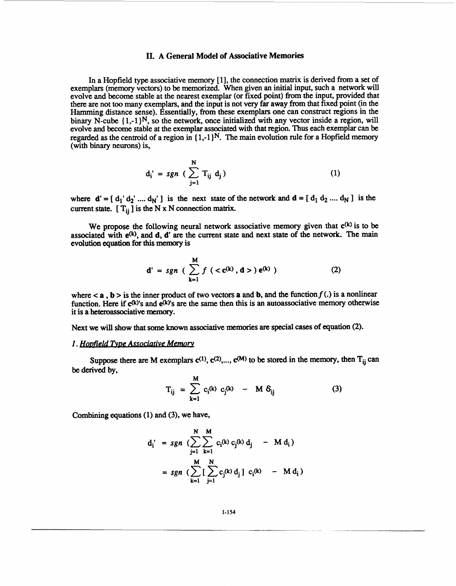# **11. A General Model of Associative Memories**

In a Hopfield type associative memory [1], the connection matrix is derived from a set of exemplars (memory vectors) to be memorized. When given an initial input, such a network will evolve and become stable at the nearest exemplar (or fixed point) from the input, provided that there are not too many exemplars, and the input is not very **far** away from that fixed point (in the Hamming distance sense). Essentially, from these exemplars one can construct regions in the binary N-cube  $\{1,-1\}^N$ , so the network, once initialized with any vector inside a region, will evolve and become stable at the exemplar associated with that region. Thus each exemplar can be regarded as the centroid of a region in  $\{1,-1\}^N$ . The main evolution rule for a Hopfield memory (with binary neurons) is,

$$
d_i' = sgn \left( \sum_{j=1}^{N} T_{ij} d_j \right)
$$
 (1)

where  $\mathbf{d}' = [\mathbf{d}_1 \mathbf{d}_2 \mathbf{d}_2 \dots \mathbf{d}_N]$  is the next state of the network and  $\mathbf{d} = [\mathbf{d}_1 \mathbf{d}_2 \dots \mathbf{d}_N]$  is the current state.  $[T_{ii}]$  is the N x N connection matrix.

We propose the following neural network associative memory given that  $c^{(k)}$  is to be associated with  $e^{(k)}$ , and **d**, **d'** are the current state and next state of the network. The main evolution equation for **this** memory is

$$
d' = sgn \ (\sum_{k=1}^{M} f (\langle c^{(k)}, d \rangle) e^{(k)} ) \tag{2}
$$

where  $\leq a$ ,  $b >$  is the inner product of two vectors a and b, and the function  $f(.)$  is a nonlinear function. Here if  $c^{(k)}$ 's and  $\bar{e}^{(k)}$ 's are the same then this is an autoassociative memory otherwise it is a hetemassociative memory.

Next we will show that some **known** associative memories **are** special **cases** of equation **(2).** 

#### .. *1. HoDfield PDe mive Memorv*

Suppose there are M exemplars  $c^{(1)}$ ,  $c^{(2)}$ ,...,  $c^{(M)}$  to be stored in the memory, then  $T_{ii}$  can be derived by,

$$
T_{ij} = \sum_{k=1}^{M} c_i(k) c_j(k) - M \delta_{ij}
$$
 (3)

Combining equations (1) and **(3),** we have,

$$
d_i' = sgn \left( \sum_{j=1}^{N} \sum_{k=1}^{M} c_i(k) c_j(k) d_j - M d_i \right)
$$
  
= sgn \left( \sum\_{k=1}^{M} \left[ \sum\_{j=1}^{N} c\_j(k) d\_j \right] c\_i(k) - M d\_i \right)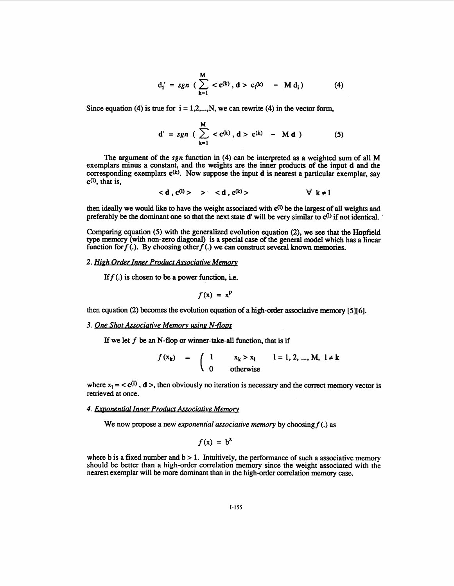$$
d_i' = sgn \left(\sum_{k=1}^{M} < c^{(k)}, d > c_i^{(k)} - M d_i\right)
$$
 (4)

Since equation  $(4)$  is true for  $i = 1, 2, \dots, N$ , we can rewrite  $(4)$  in the vector form,

$$
d' = sgn \left( \sum_{k=1}^{M} < c^{(k)}, d > c^{(k)} - M d \right) \tag{5}
$$

The argument of the *sgn* function in **(4)** can be interpreted **as** a weighted sum of all M exemplars minus a constant, and the weights **are** the inner products of the input d and the corresponding exemplars  $c^{(k)}$ . Now suppose the input d is nearest a particular exemplar, say **CO),** that is,

$$
\langle d, c^{(l)} \rangle \quad > \quad \langle d, c^{(k)} \rangle \qquad \qquad \forall \ k \neq l
$$

then ideally we would like to have the weight associated with 4) be the largest of **all** weights **and**  preferably be the dominant one so that the next state d' will be very similar to  $c^{(1)}$  if not identical.

Comparing equation *(5)* with the generalized evolution equation **(2),** we **see** that the Hopfield **type** memory (with non-zero diagonal) is a special case of the general model which has a linear function for  $f(.)$ . By choosing other  $f(.)$  we can construct several known memories.

## 2. High Order Inner Product Associative Memory

If  $f(.)$  is chosen to be a power function, i.e.

$$
f(\mathbf{x}) = \mathbf{x}^{\mathbf{p}}
$$

then equation (2) becomes the evolution equation of a **high-order** associative memory *[5][6].* 

#### 3. One Shot Associative Memory using N-flops

If we let  $f$  be an N-flop or winner-take-all function, that is if

$$
f(x_k)
$$
 =  $\begin{cases} 1 & x_k > x_1 \\ 0 & \text{otherwise} \end{cases}$  1 = 1, 2, ..., M,  $1 \neq k$ 

where  $x_1 = \langle \mathbf{c}^{(1)} \rangle$ , d  $\rangle$ , then obviously no iteration is necessary and the correct memory vector is retrieved at once.

### **4. Exponential Inner Product Associative Memory**

We now propose a new *exponential associative memory* by choosing  $f(.)$  as

$$
f(\mathbf{x}) = \mathbf{b}^{\mathbf{x}}
$$

where b is a fixed number and  $b > 1$ . Intuitively, the performance of such a associative memory should be better than a high-order correlation memory since the weight associated with the nearest exemplar will be more dominant than in the high-order correlation memory case.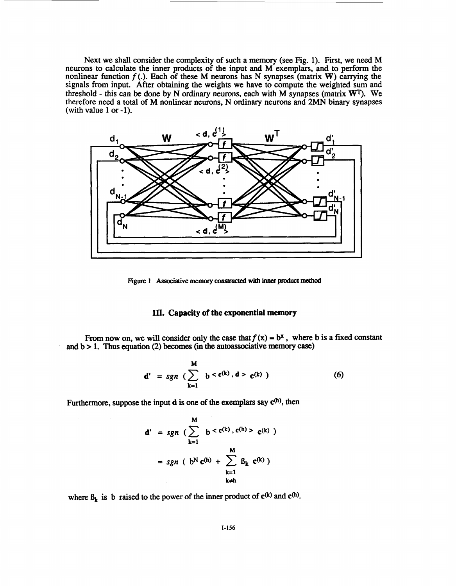Next we shall consider the complexity of such a memory (see Fig. 1). First, we **need** M neurons to calculate the inner products **of** the input **and** M exemplars, and to perform the nonlinear function  $f(.)$ . Each of these M neurons has N synapses (matrix **W**) carrying the signals from input. After obtaining the weights we have to compute the weighted **sum and**  threshold - this can be done by N ordinary neurons, each with **M** synapses (matrix **WT).** We therefore need a total **of** M nonlinear neurons, N ordinary neurons and 2MN binary synapses (with value 1 or -1).



**Figure 1** Associative memory constructed with inner product method

## **III. Capacity of the exponential memory**

From now on, we will consider only the case that  $f(x) = b^x$ , where b is a fixed constant and b > 1. **Thus** equation **(2)** becomes (in **the autoassociative** memory **case)** 

$$
d' = sgn \left( \sum_{k=1}^{M} b < c^{(k)}, d > c^{(k)} \right) \tag{6}
$$

Furthermore, suppose the input  $d$  is one of the exemplars say  $c^{(h)}$ , then

$$
d' = sgn \left( \sum_{k=1}^{M} b < c^{(k)}, c^{(h)} > c^{(k)} \right)
$$
\n
$$
= sgn \left( b^{N} c^{(h)} + \sum_{\substack{k=1 \ k \neq h}}^{M} \beta_{k} c^{(k)} \right)
$$

where  $\beta_k$  is b raised to the power of the inner product of  $c^{(k)}$  and  $c^{(h)}$ .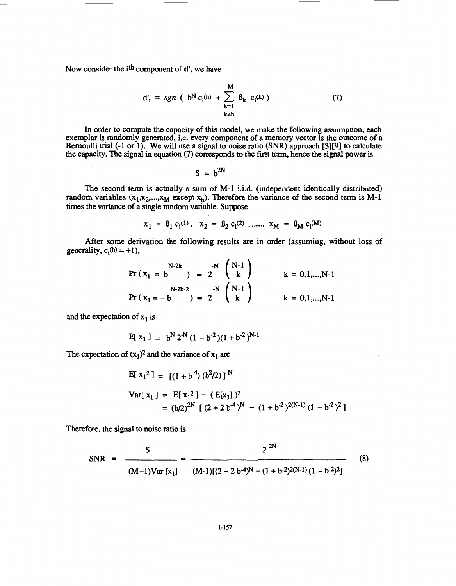Now consider the i<sup>th</sup> component of **d'**, we have

$$
d'_{i} = sgn \ (b^{N} c_{i}^{(h)} + \sum_{k=1}^{M} \beta_{k} c_{i}^{(k)} )
$$
 (7)

In order to compute the capacity of this model, we make the following assumption, each exemplar is randomly generated, i.e. every component of a memory vector is the outcome of a Bernoulli trial (-1 or 1). We will use a signal to noise ratio *(SNR)* approach [3][9] to calculate the capacity. The signal in equation (7) corresponds to the first term, hence the signal power is

$$
S = b^{2N}
$$

The second term is actually a sum of M-1 i.i.d. (independent identically distributed) random variables  $(x_1, x_2,...,x_M)$  except  $x_h$ ). Therefore the variance of the second term is M-1 times the variance of a single random variable. Suppose

$$
x_1 = \beta_1 c_i^{(1)}, \quad x_2 = \beta_2 c_i^{(2)}, \quad x_M = \beta_M c_i^{(M)}
$$

After some derivation the following results are in order (assuming, without loss of generality,  $c_i(h) = +1$ ),

$$
\Pr (x_1 = b \qquad ) = 2 \qquad \begin{pmatrix} N-1 \\ k \end{pmatrix} \qquad k = 0, 1, ..., N-1
$$
  

$$
\Pr (x_1 = -b \qquad ) = 2 \qquad \begin{pmatrix} N-1 \\ k \end{pmatrix} \qquad k = 0, 1, ..., N-1
$$

and the expectation of  $x_1$  is

$$
E[ x_1 ] = b^N 2^N (1 - b^2) (1 + b^2)^{N-1}
$$

The expectation of  $(x_1)^2$  and the variance of  $x_1$  are

$$
E[x_1^2] = [(1 + b^4) (b^2/2)]^N
$$
  
\n
$$
Var[x_1] = E[x_1^2] - (E[x_1])^2
$$
  
\n
$$
= (b/2)^{2N} [(2 + 2 b^4)^N - (1 + b^2)^{2(N-1)} (1 - b^2)^2]
$$

Therefore, the signal to noise ratio is

SNR = 
$$
\frac{S}{(M-1)Var[x_1]} = \frac{2^{2N}}{(M-1)(2+2b^4)^N - (1+b^2)^2(N-1)(1-b^2)^2}
$$
 (8)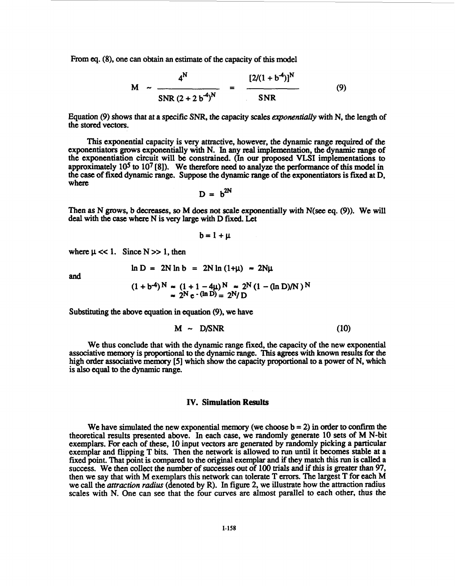From eq. (8), one can obtain an estimate of the capacity of this model

$$
M \sim \frac{4^N}{SNR (2 + 2 b^4)^N} = \frac{[2/(1 + b^4)]^N}{SNR}
$$
 (9)

Equation *(9)* shows that at **a** specific *SNR, the* capacity scales *txponentially* with **N,** the length of the stored vectors.

This exponential capacity is very attractive, however, the dynamic range required of the exponentiators grows exponentially with N. In any real implementation, the dynamic range of the exponentiation circuit will be constrained. (In our proposed VLSI implementations to approximately 10<sup>5</sup> to 10<sup>7</sup> [8]). We therefore need to analyze the performance of this model in the case of fixed dynamic range. Suppose the dynamic range of the exponentiators is **fixed** at D, where

$$
D = b^{2N}
$$

Then as N grows, b decreases, so M does not scale exponentially with N(see eq. (9)). We will deal with the *case* where N is very large with **D fixed.** Let

$$
b = 1 + \mu
$$

where  $\mu \ll 1$ . Since  $N \gg 1$ , then<br> $\ln D = 2N \ln h = 2N! \ln (1 + N)$ 

and

$$
n D = 2N ln b = 2N ln (1 + \mu) \approx 2N\mu
$$

$$
(1 + b-4)N \approx (1 + 1 - 4\mu)N \approx 2N (1 - (\ln D)/N)N
$$
  
\approx 2<sup>N</sup> e · ( $\ln D$ ) = 2<sup>N</sup>/D

Substituting the above equation in equation **(9),** we have

$$
M \sim D/SNR \tag{10}
$$

We thus conclude that with the dynamic range fixed, the capacity of the new exponential associative memory is proportional **to** the dynamic range. **This** *agrees* with **known results** for the high order associative memory *[5]* which show the capacity proportional to a power of N, which is also **equal to** the dynamic range.

## **IV. Simulation Results**

We have simulated the new exponential memory (we choose **) in order to confirm the** theoretical results presented above. In each case, we **randomly** generate **10** sets of **M** N-bit exemplars. **For** each of these, 10 input vectors **are** generated by randomly picking a particular exemplar and flipping T bits. Then the network is allowed to run **until** it becomes stable at a fixed point. That point is compared to the original exemplar and if they match this run is called a success. We then collect the number of successes out of 100 trials and if *this* is greater than *97,*  then we say that with M exemplars this network can tolerate T **errors.** The largest T for each M we call the *attraction radius* (denoted by R). In figure 2, we illustrate how the attraction radius scales with **N.** One can see that the four curves are almost parallel to each other, thus the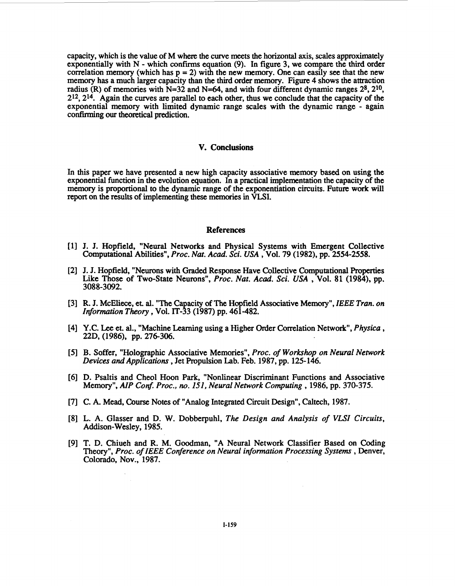capacity, which is the value of M where the curve meets the horizontal axis, scales approximately exponentially with N - which **confirms** equation **(9).** In figure **3,** we compare **the** third order correlation memory (which has  $p = 2$ ) with the new memory. One can easily see that the new memory has a much larger capacity than the third order memory. [Figure](#page-7-0) **4** shows the attraction radius (R) of memories with  $N=32$  and  $N=64$ , and with four different dynamic ranges  $2^8$ ,  $2^{10}$ , **212, 214.** Again the curves are parallel to each other, thus we conclude that the capacity of the exponential memory with limited dynamic range scales with the dynamic range - again confirxning **our** theoretical prediction.

# **V. Conclusions**

In this paper we have presented a new high capacity associative memory based on using the exponential function in the evolution equation. In a practical implementation the capacity of the memory is proportional to the dynamic range of the exponentiation circuits. Future work will report on the results of implementing these memories in VLSI.

#### References

- J. J. Hopfield, "Neural Networks and Physical Systems with Emergent Collective Computational Abilities", *Proc. Nut. Acad. Sci. USA* , **Vol. 79 (1982),** pp. **2554-2558.**
- [2] J. J. Hopfield, "Neurons with Graded Response Have Collective Computational Properties Like Those of Two-State Neurons", *Proc. Nut. Acad. Sci. USA* , Vol. **81 (1984),** pp. **3088-3092.**
- R. J. McEliece, **et.** al. "The Capacity of **The** Hopfield Associative Memory", IEEE *Tran. on Information Theory,* Vol. **IT-33 (1987)** pp. **461-482.**
- Y.C. Lee et. al., "Machine Learning using **a** Higher Order Correlation Network", *P hysica* , **22D, (1986),** pp. **276-306.**
- **B.** Soffer, "Holographic Associative Memories", *Proc. of Workshop on Neural Network Devices and Applications* , Jet Propulsion Lab. Feb. **1987,** pp. **125- 146.**
- D. Psaltis and Cheol Hoon Park, "Nonlinear Discriminant Functions and Associative Memory", *AIP Conf. Proc., no. 151, Neural Network Computing* , **1986,** pp. **370-375.**
- C. A. Mead, **Course** Notes of "Analog Integrated Circuit Design", Caltech, **1987.**
- L. A. Glasser and D. **W.** Dobberpuhl, *The Design and Analysis of VLSI Circuits,*  Addison-Wesley, **1985.**
- T. D. Chiueh and **R.** M. Goodman, "A Neural Network Classifier **Based** on Coding Theory", *Proc. of* IEEE *Conference on Neural information Processing Systems* , Denver, Colorado, Nov., **1987.**